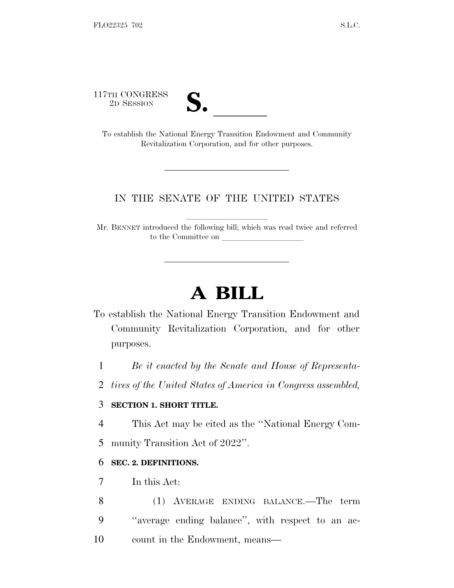117TH CONGRESS<br>2D SESSION



TTH CONGRESS<br>
2D SESSION<br>
To establish the National Energy Transition Endowment and Community Revitalization Corporation, and for other purposes.

## IN THE SENATE OF THE UNITED STATES

Mr. BENNET introduced the following bill; which was read twice and referred to the Committee on

## **A BILL**

- To establish the National Energy Transition Endowment and Community Revitalization Corporation, and for other purposes.
	- 1 *Be it enacted by the Senate and House of Representa-*
	- 2 *tives of the United States of America in Congress assembled,*

## 3 **SECTION 1. SHORT TITLE.**

- 4 This Act may be cited as the ''National Energy Com-
- 5 munity Transition Act of 2022''.

## 6 **SEC. 2. DEFINITIONS.**

- 7 In this Act:
- 8 (1) AVERAGE ENDING BALANCE.—The term 9 ''average ending balance'', with respect to an ac-10 count in the Endowment, means—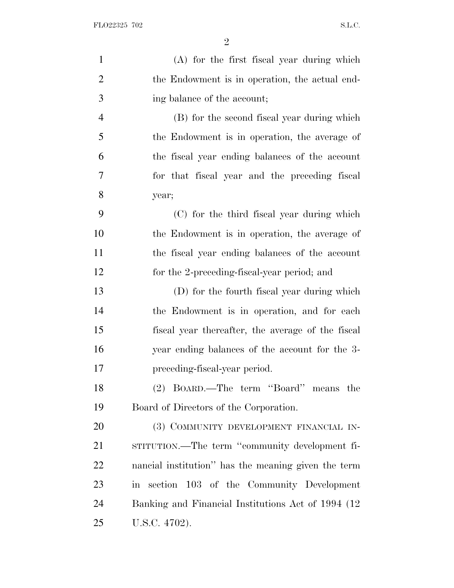| $\mathbf{1}$   | (A) for the first fiscal year during which          |
|----------------|-----------------------------------------------------|
| $\overline{2}$ | the Endowment is in operation, the actual end-      |
| 3              | ing balance of the account;                         |
| $\overline{4}$ | (B) for the second fiscal year during which         |
| 5              | the Endowment is in operation, the average of       |
| 6              | the fiscal year ending balances of the account      |
| $\overline{7}$ | for that fiscal year and the preceding fiscal       |
| 8              | year;                                               |
| 9              | (C) for the third fiscal year during which          |
| 10             | the Endowment is in operation, the average of       |
| 11             | the fiscal year ending balances of the account      |
| 12             | for the 2-preceding-fiscal-year period; and         |
| 13             | (D) for the fourth fiscal year during which         |
| 14             | the Endowment is in operation, and for each         |
| 15             | fiscal year thereafter, the average of the fiscal   |
| 16             | year ending balances of the account for the 3-      |
| 17             | preceding-fiscal-year period.                       |
| 18             | (2) BOARD.—The term "Board" means the               |
| 19             | Board of Directors of the Corporation.              |
| 20             | (3) COMMUNITY DEVELOPMENT FINANCIAL IN-             |
| 21             | STITUTION.—The term "community development fi-      |
| 22             | nancial institution" has the meaning given the term |
| 23             | in section 103 of the Community Development         |
| 24             | Banking and Financial Institutions Act of 1994 (12  |
| 25             | U.S.C. 4702).                                       |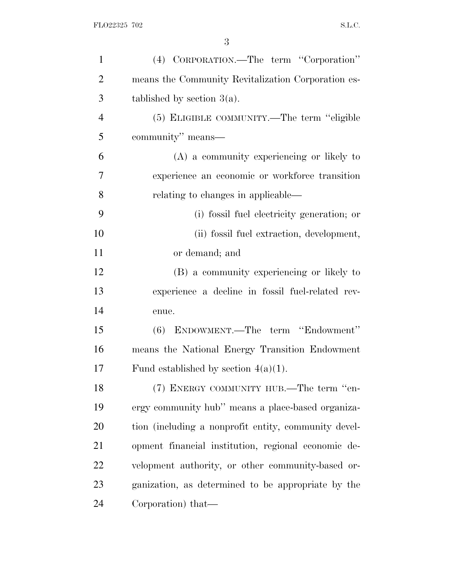| $\mathbf{1}$   | (4) CORPORATION.—The term "Corporation"              |
|----------------|------------------------------------------------------|
| $\overline{2}$ | means the Community Revitalization Corporation es-   |
| 3              | tablished by section $3(a)$ .                        |
| $\overline{4}$ | (5) ELIGIBLE COMMUNITY.—The term "eligible           |
| 5              | community" means—                                    |
| 6              | (A) a community experiencing or likely to            |
| 7              | experience an economic or workforce transition       |
| 8              | relating to changes in applicable—                   |
| 9              | (i) fossil fuel electricity generation; or           |
| 10             | (ii) fossil fuel extraction, development,            |
| 11             | or demand; and                                       |
| 12             | (B) a community experiencing or likely to            |
| 13             | experience a decline in fossil fuel-related rev-     |
| 14             | enue.                                                |
| 15             | (6) ENDOWMENT.—The term "Endowment"                  |
| 16             | means the National Energy Transition Endowment       |
| 17             | Fund established by section $4(a)(1)$ .              |
| 18             | (7) ENERGY COMMUNITY HUB.—The term "en-              |
| 19             | ergy community hub" means a place-based organiza-    |
| 20             | tion (including a nonprofit entity, community devel- |
| 21             | opment financial institution, regional economic de-  |
| 22             | velopment authority, or other community-based or-    |
| 23             | ganization, as determined to be appropriate by the   |
| 24             | Corporation) that—                                   |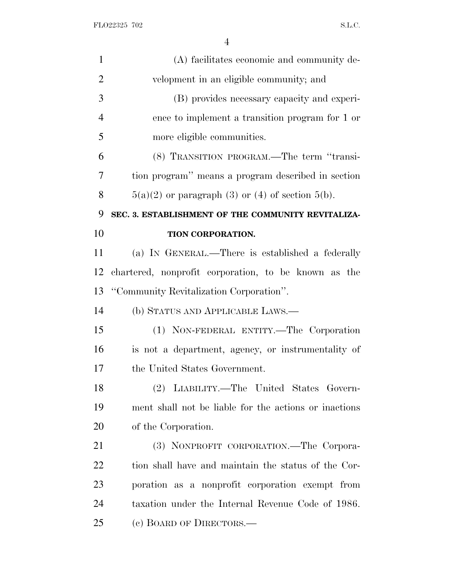FLO22325 702 S.L.C.

| $\mathbf{1}$   | (A) facilitates economic and community de-            |
|----------------|-------------------------------------------------------|
| $\overline{2}$ | velopment in an eligible community; and               |
| 3              | (B) provides necessary capacity and experi-           |
| $\overline{4}$ | ence to implement a transition program for 1 or       |
| 5              | more eligible communities.                            |
| 6              | (8) TRANSITION PROGRAM.—The term "transi-             |
| 7              | tion program" means a program described in section    |
| 8              | $5(a)(2)$ or paragraph (3) or (4) of section $5(b)$ . |
| 9              | SEC. 3. ESTABLISHMENT OF THE COMMUNITY REVITALIZA-    |
| 10             | TION CORPORATION.                                     |
| 11             | (a) IN GENERAL.—There is established a federally      |
| 12             | chartered, nonprofit corporation, to be known as the  |
| 13             | "Community Revitalization Corporation".               |
| 14             | (b) STATUS AND APPLICABLE LAWS.—                      |
| 15             | (1) NON-FEDERAL ENTITY.—The Corporation               |
| 16             | is not a department, agency, or instrumentality of    |
| 17             | the United States Government.                         |
| 18             | (2) LIABILITY.—The United States Govern-              |
| 19             | ment shall not be liable for the actions or inactions |
| 20             | of the Corporation.                                   |
| 21             | (3) NONPROFIT CORPORATION.—The Corpora-               |
| 22             | tion shall have and maintain the status of the Cor-   |
| 23             | poration as a nonprofit corporation exempt from       |
| 24             | taxation under the Internal Revenue Code of 1986.     |
| 25             | (c) BOARD OF DIRECTORS.—                              |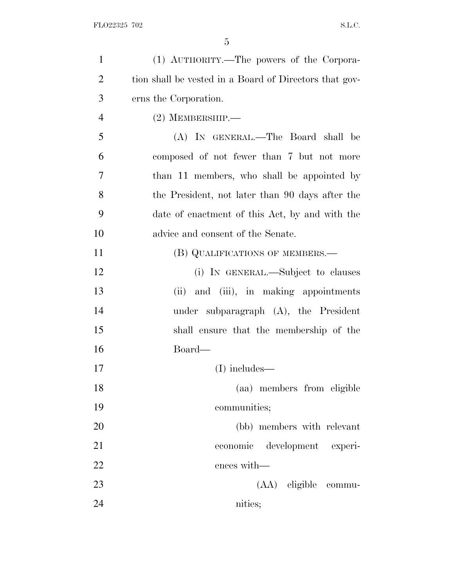| $\mathbf{1}$   | (1) AUTHORITY.—The powers of the Corpora-              |
|----------------|--------------------------------------------------------|
| $\overline{2}$ | tion shall be vested in a Board of Directors that gov- |
| 3              | erns the Corporation.                                  |
| $\overline{4}$ | $(2)$ MEMBERSHIP.—                                     |
| 5              | (A) IN GENERAL.—The Board shall be                     |
| 6              | composed of not fewer than 7 but not more              |
| 7              | than 11 members, who shall be appointed by             |
| 8              | the President, not later than 90 days after the        |
| 9              | date of enactment of this Act, by and with the         |
| 10             | advice and consent of the Senate.                      |
| 11             | (B) QUALIFICATIONS OF MEMBERS.—                        |
| 12             | (i) IN GENERAL.—Subject to clauses                     |
| 13             | (ii) and (iii), in making appointments                 |
| 14             | under subparagraph $(A)$ , the President               |
| 15             | shall ensure that the membership of the                |
| 16             | Board—                                                 |
| 17             | $(I)$ includes—                                        |
| 18             | (aa) members from eligible                             |
| 19             | communities;                                           |
| 20             | (bb) members with relevant                             |
| 21             | economic development experi-                           |
| 22             | ences with-                                            |
| 23             | (AA) eligible commu-                                   |
| 24             | nities;                                                |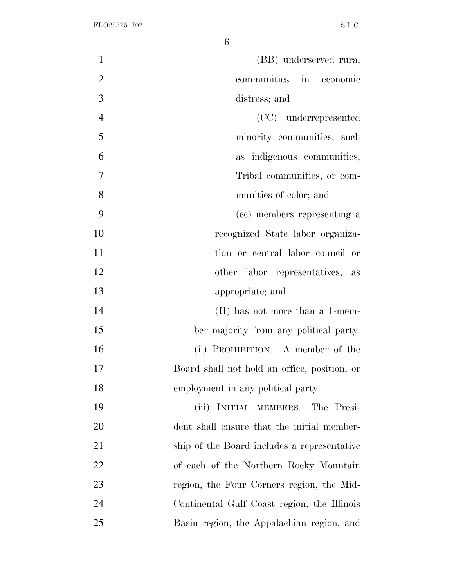| $\mathbf{1}$<br>(BB) underserved rural             |    |
|----------------------------------------------------|----|
| $\overline{2}$<br>communities<br>in economic       |    |
| 3<br>distress; and                                 |    |
| $\overline{4}$<br>(CC) underrepresented            |    |
| 5<br>minority communities, such                    |    |
| 6<br>as indigenous communities,                    |    |
| 7<br>Tribal communities, or com-                   |    |
| 8<br>munities of color; and                        |    |
| 9<br>(cc) members representing a                   |    |
| 10<br>recognized State labor organiza-             |    |
| 11<br>tion or central labor council or             |    |
| 12<br>other labor representatives,                 | as |
| 13<br>appropriate; and                             |    |
| 14<br>$(II)$ has not more than a 1-mem-            |    |
| 15<br>ber majority from any political party.       |    |
| 16<br>(ii) PROHIBITION.—A member of the            |    |
| 17<br>Board shall not hold an office, position, or |    |
| 18<br>employment in any political party.           |    |
| 19<br>(iii) INITIAL MEMBERS.—The Presi-            |    |
| 20<br>dent shall ensure that the initial member-   |    |
| 21<br>ship of the Board includes a representative  |    |
| 22<br>of each of the Northern Rocky Mountain       |    |
| 23<br>region, the Four Corners region, the Mid-    |    |
| 24<br>Continental Gulf Coast region, the Illinois  |    |
| 25<br>Basin region, the Appalachian region, and    |    |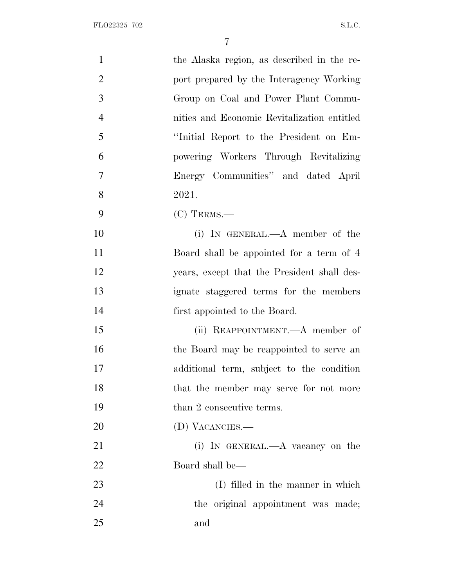| $\mathbf{1}$   | the Alaska region, as described in the re-  |
|----------------|---------------------------------------------|
| $\overline{2}$ | port prepared by the Interagency Working    |
| 3              | Group on Coal and Power Plant Commu-        |
| $\overline{4}$ | nities and Economic Revitalization entitled |
| 5              | "Initial Report to the President on Em-     |
| 6              | powering Workers Through Revitalizing       |
| $\overline{7}$ | Energy Communities" and dated April         |
| 8              | 2021.                                       |
| 9              | $(C)$ TERMS.—                               |
| 10             | (i) IN GENERAL.— $A$ member of the          |
| 11             | Board shall be appointed for a term of 4    |
| 12             | years, except that the President shall des- |
| 13             | ignate staggered terms for the members      |
| 14             | first appointed to the Board.               |
| 15             | (ii) REAPPOINTMENT.—A member of             |
| 16             | the Board may be reappointed to serve an    |
| 17             | additional term, subject to the condition   |
| 18             | that the member may serve for not more      |
| 19             | than 2 consecutive terms.                   |
| 20             | (D) VACANCIES.—                             |
| 21             | (i) IN GENERAL.—A vacancy on the            |
| 22             | Board shall be—                             |
| 23             | (I) filled in the manner in which           |
| 24             | the original appointment was made;          |
| 25             | and                                         |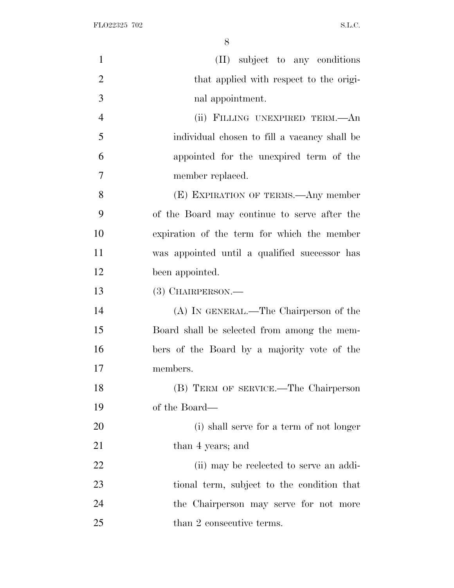| $\mathbf{1}$   | (II) subject to any conditions                |
|----------------|-----------------------------------------------|
| $\overline{2}$ | that applied with respect to the origi-       |
| 3              | nal appointment.                              |
| $\overline{4}$ | (ii) FILLING UNEXPIRED TERM.—An               |
| 5              | individual chosen to fill a vacancy shall be  |
| 6              | appointed for the unexpired term of the       |
| $\overline{7}$ | member replaced.                              |
| 8              | (E) EXPIRATION OF TERMS.—Any member           |
| 9              | of the Board may continue to serve after the  |
| 10             | expiration of the term for which the member   |
| 11             | was appointed until a qualified successor has |
| 12             | been appointed.                               |
| 13             | (3) CHAIRPERSON.—                             |
| 14             | (A) IN GENERAL.—The Chairperson of the        |
| 15             | Board shall be selected from among the mem-   |
| 16             | bers of the Board by a majority vote of the   |
| 17             | members.                                      |
| 18             | (B) TERM OF SERVICE.—The Chairperson          |
| 19             | of the Board—                                 |
| 20             | (i) shall serve for a term of not longer      |
| 21             | than 4 years; and                             |
| 22             | (ii) may be reelected to serve an addi-       |
| 23             | tional term, subject to the condition that    |
| 24             | the Chairperson may serve for not more        |
| 25             | than 2 consecutive terms.                     |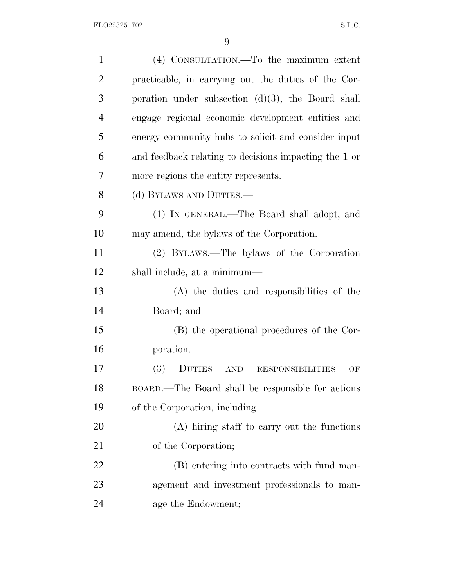| $\mathbf{1}$   | (4) CONSULTATION.—To the maximum extent                                    |
|----------------|----------------------------------------------------------------------------|
| $\overline{2}$ | practicable, in carrying out the duties of the Cor-                        |
| 3              | poration under subsection $(d)(3)$ , the Board shall                       |
| $\overline{4}$ | engage regional economic development entities and                          |
| 5              | energy community hubs to solicit and consider input                        |
| 6              | and feedback relating to decisions impacting the 1 or                      |
| 7              | more regions the entity represents.                                        |
| 8              | (d) BYLAWS AND DUTIES.—                                                    |
| 9              | (1) IN GENERAL.—The Board shall adopt, and                                 |
| 10             | may amend, the bylaws of the Corporation.                                  |
| 11             | (2) BYLAWS.—The bylaws of the Corporation                                  |
| 12             | shall include, at a minimum—                                               |
| 13             | (A) the duties and responsibilities of the                                 |
| 14             | Board; and                                                                 |
| 15             | (B) the operational procedures of the Cor-                                 |
| 16             | poration.                                                                  |
| 17             | <b>(3)</b><br><b>DUTIES</b><br><b>AND</b><br><b>RESPONSIBILITIES</b><br>OF |
| 18             | BOARD.—The Board shall be responsible for actions                          |
| 19             | of the Corporation, including—                                             |
| 20             | (A) hiring staff to carry out the functions                                |
| 21             | of the Corporation;                                                        |
| 22             | (B) entering into contracts with fund man-                                 |
| 23             | agement and investment professionals to man-                               |
| 24             | age the Endowment;                                                         |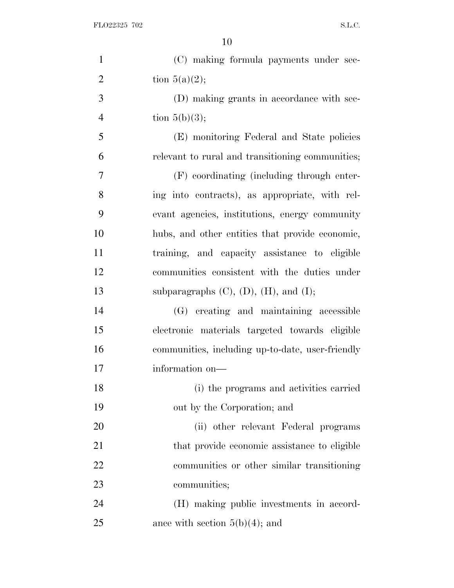| $\mathbf{1}$   | (C) making formula payments under sec-            |
|----------------|---------------------------------------------------|
| $\overline{2}$ | tion $5(a)(2)$ ;                                  |
| 3              | (D) making grants in accordance with sec-         |
| $\overline{4}$ | tion $5(b)(3)$ ;                                  |
| 5              | (E) monitoring Federal and State policies         |
| 6              | relevant to rural and transitioning communities;  |
| 7              | (F) coordinating (including through enter-        |
| 8              | ing into contracts), as appropriate, with rel-    |
| 9              | evant agencies, institutions, energy community    |
| 10             | hubs, and other entities that provide economic,   |
| 11             | training, and capacity assistance to eligible     |
| 12             | communities consistent with the duties under      |
| 13             | subparagraphs $(C)$ , $(D)$ , $(H)$ , and $(I)$ ; |
| 14             | (G) creating and maintaining accessible           |
| 15             | electronic materials targeted towards eligible    |
| 16             | communities, including up-to-date, user-friendly  |
| 17             | information on-                                   |
| 18             | (i) the programs and activities carried           |
| 19             | out by the Corporation; and                       |
| 20             | (ii) other relevant Federal programs              |
| 21             | that provide economic assistance to eligible      |
| 22             | communities or other similar transitioning        |
| 23             | communities;                                      |
| 24             | (H) making public investments in accord-          |
| 25             | ance with section $5(b)(4)$ ; and                 |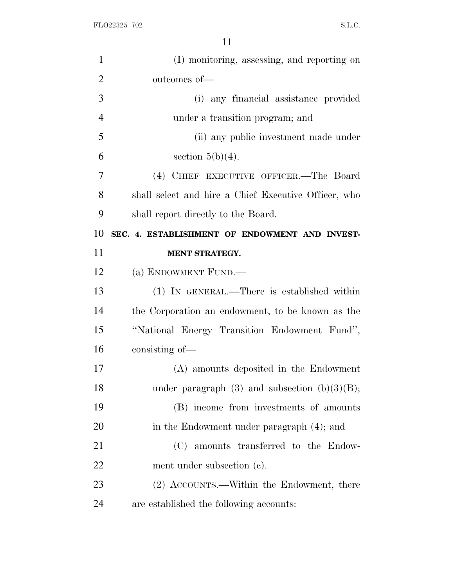| $\mathbf{1}$   | (I) monitoring, assessing, and reporting on          |
|----------------|------------------------------------------------------|
| $\overline{2}$ | outcomes of-                                         |
| 3              | (i) any financial assistance provided                |
| $\overline{4}$ | under a transition program; and                      |
| 5              | (ii) any public investment made under                |
| 6              | section $5(b)(4)$ .                                  |
| 7              | (4) CHIEF EXECUTIVE OFFICER.—The Board               |
| 8              | shall select and hire a Chief Executive Officer, who |
| 9              | shall report directly to the Board.                  |
| 10             | SEC. 4. ESTABLISHMENT OF ENDOWMENT AND INVEST-       |
| 11             | MENT STRATEGY.                                       |
| 12             | (a) ENDOWMENT FUND.—                                 |
| 13             | (1) IN GENERAL.—There is established within          |
| 14             | the Corporation an endowment, to be known as the     |
| 15             | "National Energy Transition Endowment Fund",         |
| 16             | consisting of—                                       |
| 17             | (A) amounts deposited in the Endowment               |
| 18             | under paragraph $(3)$ and subsection $(b)(3)(B)$ ;   |
| 19             | (B) income from investments of amounts               |
| 20             | in the Endowment under paragraph (4); and            |
| 21             | (C) amounts transferred to the Endow-                |
| 22             | ment under subsection (c).                           |
| 23             |                                                      |
|                | (2) ACCOUNTS.—Within the Endowment, there            |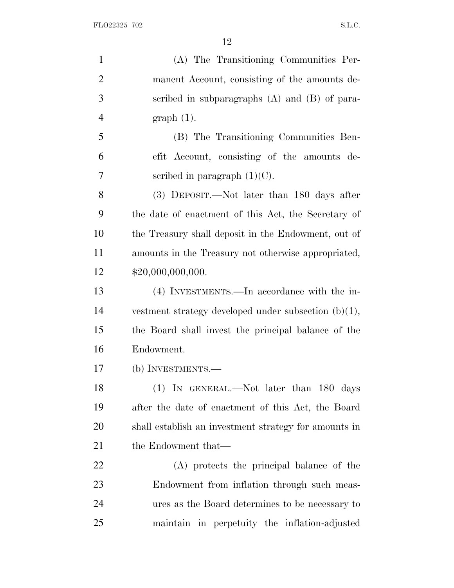| $\mathbf{1}$   | (A) The Transitioning Communities Per-                  |
|----------------|---------------------------------------------------------|
| $\overline{2}$ | manent Account, consisting of the amounts de-           |
| 3              | scribed in subparagraphs (A) and (B) of para-           |
| $\overline{4}$ | $graph(1)$ .                                            |
| 5              | (B) The Transitioning Communities Ben-                  |
| 6              | efit Account, consisting of the amounts de-             |
| 7              | scribed in paragraph $(1)(C)$ .                         |
| 8              | (3) DEPOSIT.—Not later than 180 days after              |
| 9              | the date of enactment of this Act, the Secretary of     |
| 10             | the Treasury shall deposit in the Endowment, out of     |
| 11             | amounts in the Treasury not otherwise appropriated,     |
| 12             | \$20,000,000,000.                                       |
| 13             | (4) INVESTMENTS.—In accordance with the in-             |
| 14             | vestment strategy developed under subsection $(b)(1)$ , |
| 15             | the Board shall invest the principal balance of the     |
| 16             | Endowment.                                              |
| 17             | (b) INVESTMENTS.—                                       |
| 18             | (1) IN GENERAL.—Not later than 180 days                 |
| 19             | after the date of enactment of this Act, the Board      |
| 20             | shall establish an investment strategy for amounts in   |
| 21             | the Endowment that—                                     |
| <u>22</u>      | (A) protects the principal balance of the               |
| 23             | Endowment from inflation through such meas-             |
| 24             | ures as the Board determines to be necessary to         |
| 25             | maintain in perpetuity the inflation-adjusted           |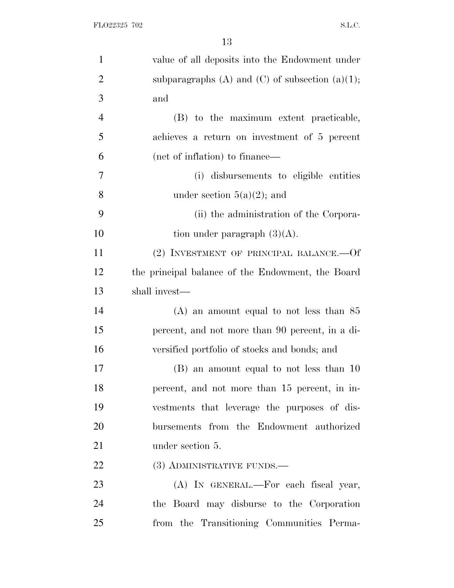| $\mathbf{1}$   | value of all deposits into the Endowment under     |
|----------------|----------------------------------------------------|
| $\overline{2}$ | subparagraphs (A) and (C) of subsection $(a)(1)$ ; |
| 3              | and                                                |
| $\overline{4}$ | (B) to the maximum extent practicable,             |
| 5              | achieves a return on investment of 5 percent       |
| 6              | (net of inflation) to finance—                     |
| 7              | (i) disbursements to eligible entities             |
| 8              | under section $5(a)(2)$ ; and                      |
| 9              | (ii) the administration of the Corpora-            |
| 10             | tion under paragraph $(3)(A)$ .                    |
| 11             | (2) INVESTMENT OF PRINCIPAL BALANCE.—Of            |
| 12             | the principal balance of the Endowment, the Board  |
| 13             | shall invest—                                      |
| 14             | $(A)$ an amount equal to not less than 85          |
| 15             | percent, and not more than 90 percent, in a di-    |
| 16             | versified portfolio of stocks and bonds; and       |
| 17             | (B) an amount equal to not less than 10            |
| 18             | percent, and not more than 15 percent, in in-      |
| 19             | vestments that leverage the purposes of dis-       |
| 20             | bursements from the Endowment authorized           |
| 21             | under section 5.                                   |
| 22             | (3) ADMINISTRATIVE FUNDS.—                         |
| 23             | (A) IN GENERAL.—For each fiscal year,              |
| 24             | the Board may disburse to the Corporation          |
| 25             | from the Transitioning Communities Perma-          |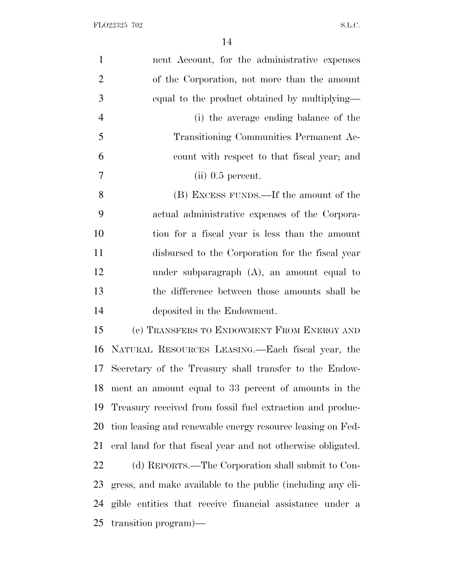| $\mathbf{1}$   | nent Account, for the administrative expenses               |
|----------------|-------------------------------------------------------------|
| $\overline{2}$ | of the Corporation, not more than the amount                |
| 3              | equal to the product obtained by multiplying—               |
| $\overline{4}$ | (i) the average ending balance of the                       |
| 5              | Transitioning Communities Permanent Ac-                     |
| 6              | count with respect to that fiscal year; and                 |
| 7              | $(ii)$ 0.5 percent.                                         |
| 8              | (B) EXCESS FUNDS.—If the amount of the                      |
| 9              | actual administrative expenses of the Corpora-              |
| 10             | tion for a fiscal year is less than the amount              |
| 11             | disbursed to the Corporation for the fiscal year            |
| 12             | under subparagraph $(A)$ , an amount equal to               |
| 13             | the difference between those amounts shall be               |
| 14             | deposited in the Endowment.                                 |
| 15             | (c) TRANSFERS TO ENDOWMENT FROM ENERGY AND                  |
| 16             | NATURAL RESOURCES LEASING.—Each fiscal year, the            |
| 17             | Secretary of the Treasury shall transfer to the Endow-      |
| 18             | ment an amount equal to 33 percent of amounts in the        |
| 19             | Treasury received from fossil fuel extraction and produc-   |
| 20             | tion leasing and renewable energy resource leasing on Fed-  |
| 21             | eral land for that fiscal year and not otherwise obligated. |
| 22             | (d) REPORTS.—The Corporation shall submit to Con-           |
| 23             | gress, and make available to the public (including any eli- |
| 24             | gible entities that receive financial assistance under a    |
| 25             | transition program)—                                        |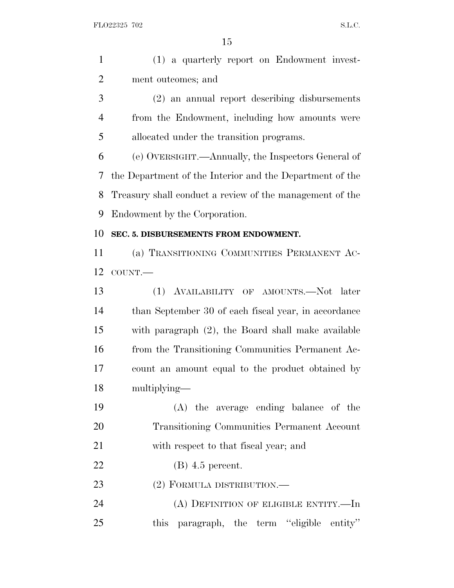| $\mathbf{1}$   | (1) a quarterly report on Endowment invest-              |
|----------------|----------------------------------------------------------|
| $\overline{2}$ | ment outcomes; and                                       |
| 3              | (2) an annual report describing disbursements            |
| 4              | from the Endowment, including how amounts were           |
| 5              | allocated under the transition programs.                 |
| 6              | (e) OVERSIGHT.—Annually, the Inspectors General of       |
| 7              | the Department of the Interior and the Department of the |
| 8              | Treasury shall conduct a review of the management of the |
| 9              | Endowment by the Corporation.                            |
| 10             | SEC. 5. DISBURSEMENTS FROM ENDOWMENT.                    |
| 11             | (a) TRANSITIONING COMMUNITIES PERMANENT AC-              |
| 12             | COUNT.                                                   |
| 13             | AVAILABILITY OF AMOUNTS.—Not later<br>(1)                |
| 14             | than September 30 of each fiscal year, in accordance     |
| 15             | with paragraph $(2)$ , the Board shall make available    |
| 16             | from the Transitioning Communities Permanent Ac-         |
| 17             | count an amount equal to the product obtained by         |
| 18             | multiplying—                                             |
| 19             | (A) the average ending balance of the                    |
| 20             | Transitioning Communities Permanent Account              |
| 21             | with respect to that fiscal year; and                    |
| 22             | $(B)$ 4.5 percent.                                       |
| 23             | $(2)$ FORMULA DISTRIBUTION.—                             |
| 24             | $(A)$ DEFINITION OF ELIGIBLE ENTITY.—In                  |
| 25             | this paragraph, the term "eligible entity"               |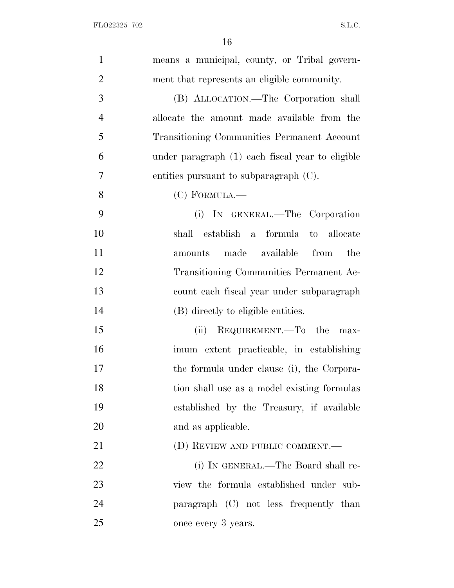| $\mathbf{1}$   | means a municipal, county, or Tribal govern-     |
|----------------|--------------------------------------------------|
| $\overline{2}$ | ment that represents an eligible community.      |
| 3              | (B) ALLOCATION.—The Corporation shall            |
| $\overline{4}$ | allocate the amount made available from the      |
| 5              | Transitioning Communities Permanent Account      |
| 6              | under paragraph (1) each fiscal year to eligible |
| $\tau$         | entities pursuant to subparagraph $(C)$ .        |
| 8              | $(C)$ FORMULA.—                                  |
| 9              | (i) IN GENERAL.—The Corporation                  |
| 10             | formula to allocate<br>shall establish a         |
| 11             | made available from<br>the<br>amounts            |
| 12             | Transitioning Communities Permanent Ac-          |
| 13             | count each fiscal year under subparagraph        |
| 14             | (B) directly to eligible entities.               |
| 15             | REQUIREMENT.—To the<br>(ii)<br>max-              |
| 16             | imum extent practicable, in establishing         |
| 17             | the formula under clause (i), the Corpora-       |
| 18             | tion shall use as a model existing formulas      |
| 19             | established by the Treasury, if available        |
| 20             | and as applicable.                               |
| 21             | (D) REVIEW AND PUBLIC COMMENT.—                  |
| 22             | (i) IN GENERAL.—The Board shall re-              |
| 23             | view the formula established under sub-          |
| 24             | paragraph (C) not less frequently than           |
| 25             | once every 3 years.                              |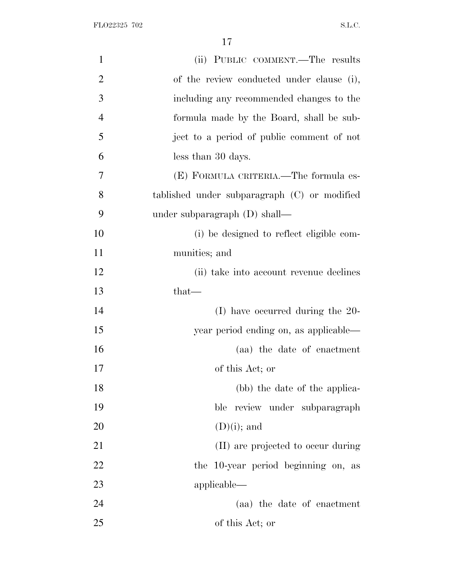FLO22325 702 S.L.C.

| $\mathbf{1}$   | (ii) PUBLIC COMMENT.—The results             |
|----------------|----------------------------------------------|
| $\overline{2}$ | of the review conducted under clause (i),    |
| 3              | including any recommended changes to the     |
| $\overline{4}$ | formula made by the Board, shall be sub-     |
| 5              | ject to a period of public comment of not    |
| 6              | less than 30 days.                           |
| 7              | (E) FORMULA CRITERIA.—The formula es-        |
| 8              | tablished under subparagraph (C) or modified |
| 9              | under subparagraph $(D)$ shall—              |
| 10             | (i) be designed to reflect eligible com-     |
| 11             | munities; and                                |
| 12             | (ii) take into account revenue declines      |
| 13             | $that-$                                      |
| 14             | $(I)$ have occurred during the 20-           |
| 15             | year period ending on, as applicable—        |
| 16             | (aa) the date of enactment                   |
| 17             | of this Act; or                              |
| 18             | (bb) the date of the applica-                |
| 19             | ble review under subparagraph                |
| 20             | $(D)(i)$ ; and                               |
| 21             | (II) are projected to occur during           |
| 22             | the 10-year period beginning on, as          |
| 23             | applicable—                                  |
| 24             | (aa) the date of enactment                   |
| 25             | of this Act; or                              |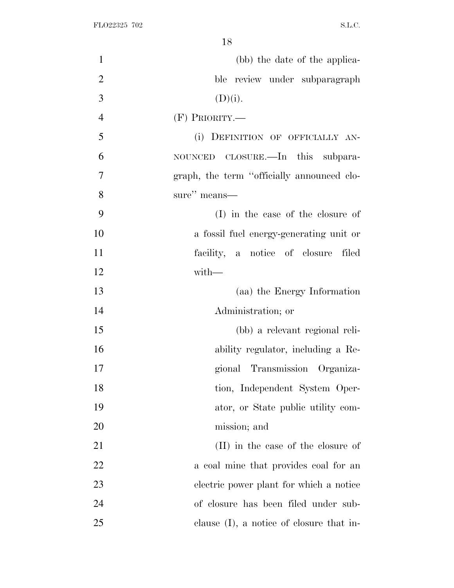| $\mathbf{1}$   | (bb) the date of the applica-               |
|----------------|---------------------------------------------|
| $\overline{2}$ | ble review under subparagraph               |
| 3              | (D)(i).                                     |
| $\overline{4}$ | $(F)$ PRIORITY.—                            |
| 5              | (i) DEFINITION OF OFFICIALLY AN-            |
| 6              | NOUNCED CLOSURE.—In this subpara-           |
| 7              | graph, the term "officially announced clo-  |
| 8              | sure" means-                                |
| 9              | (I) in the case of the closure of           |
| 10             | a fossil fuel energy-generating unit or     |
| 11             | facility, a notice of closure filed         |
| 12             | with-                                       |
| 13             | (aa) the Energy Information                 |
| 14             | Administration; or                          |
| 15             | (bb) a relevant regional reli-              |
| 16             | ability regulator, including a Re-          |
| 17             | gional Transmission Organiza-               |
| 18             | tion, Independent System Oper-              |
| 19             | ator, or State public utility com-          |
| 20             | mission; and                                |
| 21             | (II) in the case of the closure of          |
| 22             | a coal mine that provides coal for an       |
| 23             | electric power plant for which a notice     |
| 24             | of closure has been filed under sub-        |
| 25             | clause $(I)$ , a notice of closure that in- |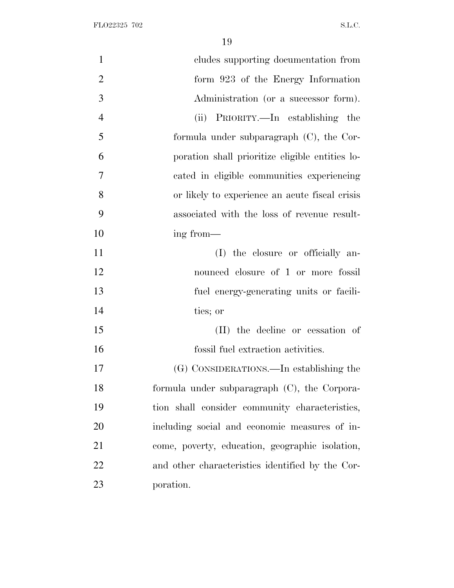| $\mathbf{1}$   | cludes supporting documentation from             |
|----------------|--------------------------------------------------|
| $\overline{2}$ | form 923 of the Energy Information               |
| 3              | Administration (or a successor form).            |
| $\overline{4}$ | (ii) PRIORITY.—In establishing the               |
| 5              | formula under subparagraph $(C)$ , the Cor-      |
| 6              | poration shall prioritize eligible entities lo-  |
| 7              | cated in eligible communities experiencing       |
| 8              | or likely to experience an acute fiscal crisis   |
| 9              | associated with the loss of revenue result-      |
| 10             | ing from—                                        |
| 11             | (I) the closure or officially an-                |
| 12             | nounced closure of 1 or more fossil              |
| 13             | fuel energy-generating units or facili-          |
| 14             | ties; or                                         |
| 15             | (II) the decline or cessation of                 |
| 16             | fossil fuel extraction activities.               |
| 17             | (G) CONSIDERATIONS.—In establishing the          |
| 18             | formula under subparagraph (C), the Corpora-     |
| 19             | tion shall consider community characteristics,   |
| 20             | including social and economic measures of in-    |
| 21             | come, poverty, education, geographic isolation,  |
| 22             | and other characteristics identified by the Cor- |
| 23             | poration.                                        |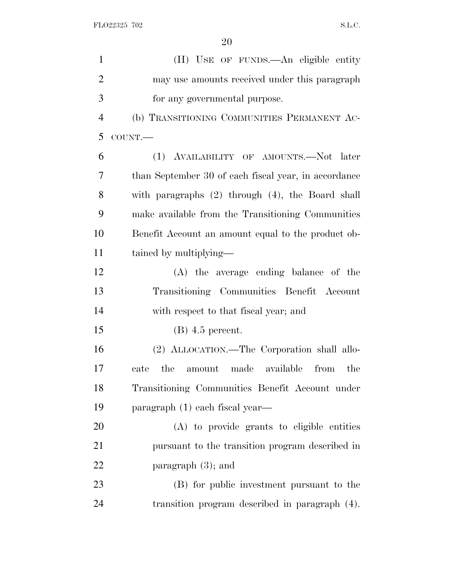| $\mathbf{1}$   | (H) USE OF FUNDS.—An eligible entity                  |
|----------------|-------------------------------------------------------|
| $\overline{2}$ | may use amounts received under this paragraph         |
| 3              | for any governmental purpose.                         |
| $\overline{4}$ | (b) TRANSITIONING COMMUNITIES PERMANENT AC-           |
| 5              | COUNT.                                                |
| 6              | (1) AVAILABILITY OF AMOUNTS.-Not later                |
| 7              | than September 30 of each fiscal year, in accordance  |
| 8              | with paragraphs $(2)$ through $(4)$ , the Board shall |
| 9              | make available from the Transitioning Communities     |
| 10             | Benefit Account an amount equal to the product ob-    |
| 11             | tained by multiplying—                                |
| 12             | (A) the average ending balance of the                 |
| 13             | Transitioning Communities Benefit Account             |
| 14             | with respect to that fiscal year; and                 |
| 15             | $(B)$ 4.5 percent.                                    |
| 16             | (2) ALLOCATION.—The Corporation shall allo-           |
| 17             | the<br>amount made available<br>from<br>the<br>cate   |
| 18             | Transitioning Communities Benefit Account under       |
| 19             | paragraph (1) each fiscal year—                       |
| 20             | (A) to provide grants to eligible entities            |
| 21             | pursuant to the transition program described in       |
| 22             | paragraph $(3)$ ; and                                 |
| 23             | (B) for public investment pursuant to the             |
| 24             | transition program described in paragraph (4).        |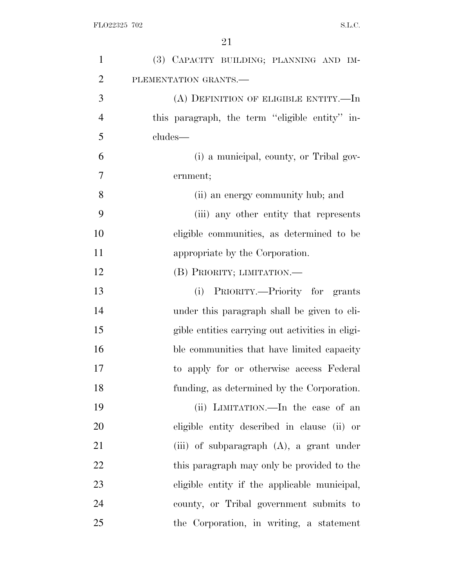| $\mathbf{1}$   | (3) CAPACITY BUILDING; PLANNING AND IM-          |
|----------------|--------------------------------------------------|
| $\overline{2}$ | PLEMENTATION GRANTS.-                            |
| 3              | (A) DEFINITION OF ELIGIBLE ENTITY.—In            |
| $\overline{4}$ | this paragraph, the term "eligible entity" in-   |
| 5              | cludes—                                          |
| 6              | (i) a municipal, county, or Tribal gov-          |
| 7              | ernment;                                         |
| 8              | (ii) an energy community hub; and                |
| 9              | (iii) any other entity that represents           |
| 10             | eligible communities, as determined to be        |
| 11             | appropriate by the Corporation.                  |
| 12             | (B) PRIORITY; LIMITATION.                        |
| 13             | (i) PRIORITY.—Priority for grants                |
| 14             | under this paragraph shall be given to eli-      |
| 15             | gible entities carrying out activities in eligi- |
| 16             | ble communities that have limited capacity       |
| 17             | to apply for or otherwise access Federal         |
| 18             | funding, as determined by the Corporation.       |
| 19             | (ii) LIMITATION.—In the case of an               |
| 20             | eligible entity described in clause (ii) or      |
| 21             | (iii) of subparagraph $(A)$ , a grant under      |
| 22             | this paragraph may only be provided to the       |
| 23             | eligible entity if the applicable municipal,     |
| 24             | county, or Tribal government submits to          |
| 25             | the Corporation, in writing, a statement         |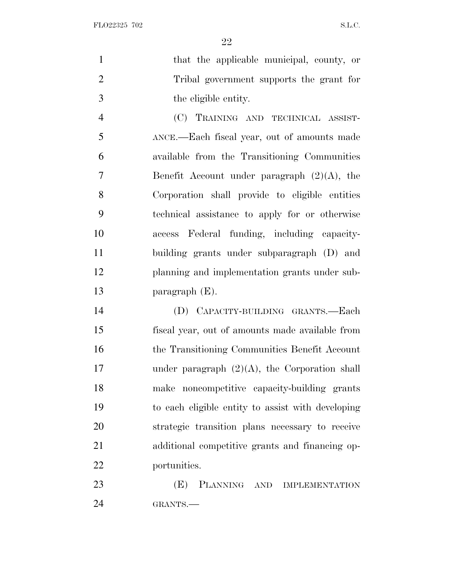FLO22325 702 S.L.C.

1 that the applicable municipal, county, or Tribal government supports the grant for the eligible entity.

 (C) TRAINING AND TECHNICAL ASSIST- ANCE.—Each fiscal year, out of amounts made available from the Transitioning Communities Benefit Account under paragraph (2)(A), the Corporation shall provide to eligible entities technical assistance to apply for or otherwise access Federal funding, including capacity- building grants under subparagraph (D) and planning and implementation grants under sub-paragraph (E).

 (D) CAPACITY-BUILDING GRANTS.—Each fiscal year, out of amounts made available from the Transitioning Communities Benefit Account under paragraph (2)(A), the Corporation shall make noncompetitive capacity-building grants to each eligible entity to assist with developing strategic transition plans necessary to receive additional competitive grants and financing op-portunities.

 (E) PLANNING AND IMPLEMENTATION GRANTS.—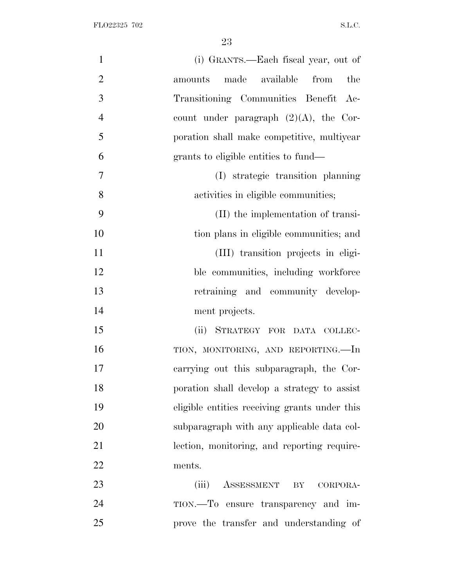| $\mathbf{1}$<br>(i) GRANTS.—Each fiscal year, out of        |
|-------------------------------------------------------------|
| $\overline{2}$<br>made available from<br>the<br>amounts     |
| 3<br>Transitioning Communities Benefit<br>$Ac-$             |
| $\overline{4}$<br>count under paragraph $(2)(A)$ , the Cor- |
| 5<br>poration shall make competitive, multiyear             |
| 6<br>grants to eligible entities to fund—                   |
| $\tau$<br>(I) strategic transition planning                 |
| 8<br>activities in eligible communities;                    |
| 9<br>(II) the implementation of transi-                     |
| 10<br>tion plans in eligible communities; and               |
| 11<br>(III) transition projects in eligi-                   |
| 12<br>ble communities, including workforce                  |
| 13<br>retraining and community develop-                     |
| 14<br>ment projects.                                        |
| 15<br>(ii) STRATEGY FOR DATA COLLEC-                        |
| 16<br>TION, MONITORING, AND REPORTING.-In                   |
| 17<br>carrying out this subparagraph, the Cor-              |
| 18<br>poration shall develop a strategy to assist           |
| 19<br>eligible entities receiving grants under this         |
| 20<br>subparagraph with any applicable data col-            |
| 21<br>lection, monitoring, and reporting require-           |
| 22<br>ments.                                                |
| 23<br>ASSESSMENT BY CORPORA-<br>(iii)                       |
| 24<br>TION.—To ensure transparency and im-                  |
| 25<br>prove the transfer and understanding of               |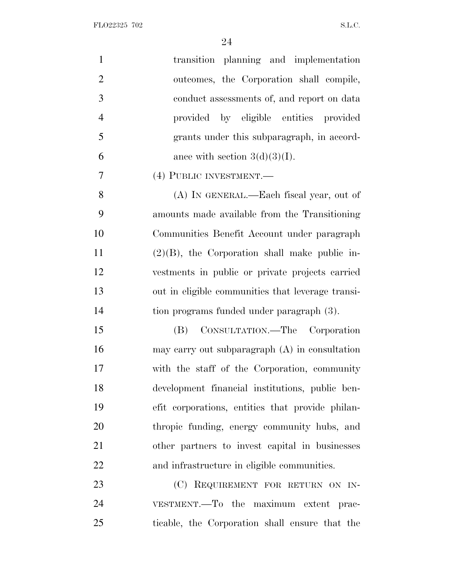| $\mathbf{1}$<br>transition planning and implementation     |
|------------------------------------------------------------|
| $\overline{2}$<br>outcomes, the Corporation shall compile, |
| 3<br>conduct assessments of, and report on data            |
| $\overline{4}$<br>provided by eligible entities provided   |
| 5<br>grants under this subparagraph, in accord-            |
| 6<br>ance with section $3(d)(3)(I)$ .                      |
| 7<br>(4) PUBLIC INVESTMENT.-                               |
| 8<br>(A) IN GENERAL.—Each fiscal year, out of              |
| 9<br>amounts made available from the Transitioning         |
| 10<br>Communities Benefit Account under paragraph          |
| 11<br>$(2)(B)$ , the Corporation shall make public in-     |
| 12<br>vestments in public or private projects carried      |
| 13<br>out in eligible communities that leverage transi-    |
| 14<br>tion programs funded under paragraph (3).            |
| 15<br>CONSULTATION.—The Corporation<br>(B)                 |
| 16<br>may carry out subparagraph $(A)$ in consultation     |
| with the staff of the Corporation, community<br>17         |
| development financial institutions, public ben-<br>18      |
| 19<br>efit corporations, entities that provide philan-     |
| 20<br>thropic funding, energy community hubs, and          |
| 21<br>other partners to invest capital in businesses       |
| 22<br>and infrastructure in eligible communities.          |
| 23<br>(C) REQUIREMENT FOR RETURN ON IN-                    |
| 24<br>VESTMENT.—To the maximum extent prac-                |
| 25<br>ticable, the Corporation shall ensure that the       |